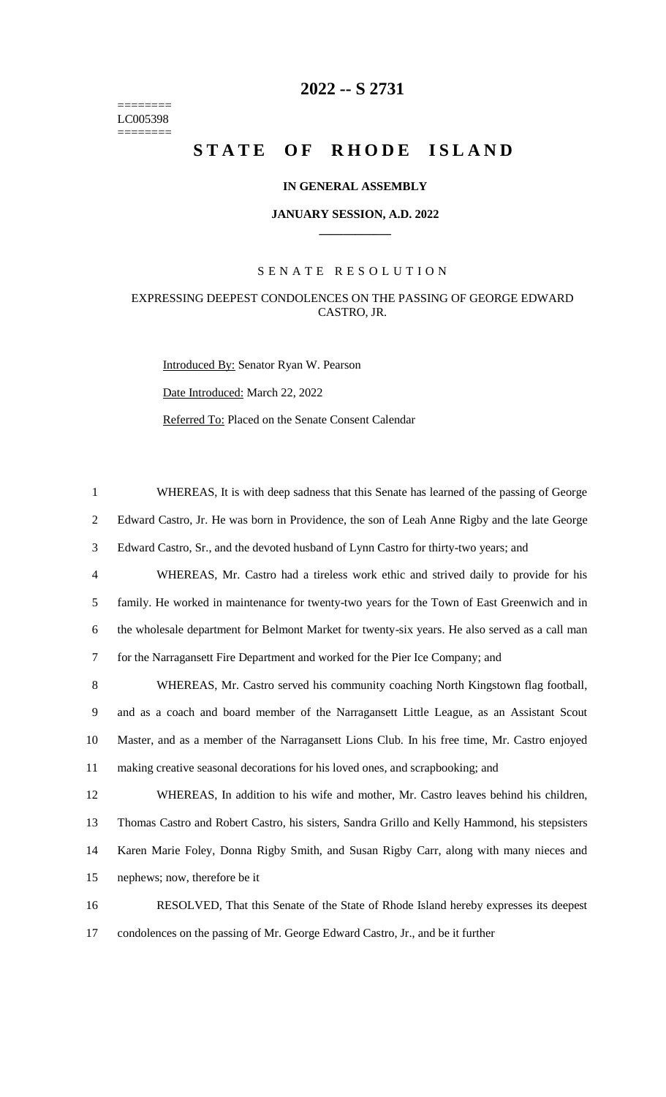======== LC005398 ========

## **2022 -- S 2731**

# STATE OF RHODE ISLAND

#### **IN GENERAL ASSEMBLY**

#### **JANUARY SESSION, A.D. 2022 \_\_\_\_\_\_\_\_\_\_\_\_**

#### S E N A T E R E S O L U T I O N

### EXPRESSING DEEPEST CONDOLENCES ON THE PASSING OF GEORGE EDWARD CASTRO, JR.

Introduced By: Senator Ryan W. Pearson

Date Introduced: March 22, 2022

Referred To: Placed on the Senate Consent Calendar

 WHEREAS, It is with deep sadness that this Senate has learned of the passing of George Edward Castro, Jr. He was born in Providence, the son of Leah Anne Rigby and the late George Edward Castro, Sr., and the devoted husband of Lynn Castro for thirty-two years; and WHEREAS, Mr. Castro had a tireless work ethic and strived daily to provide for his family. He worked in maintenance for twenty-two years for the Town of East Greenwich and in the wholesale department for Belmont Market for twenty-six years. He also served as a call man for the Narragansett Fire Department and worked for the Pier Ice Company; and WHEREAS, Mr. Castro served his community coaching North Kingstown flag football, and as a coach and board member of the Narragansett Little League, as an Assistant Scout Master, and as a member of the Narragansett Lions Club. In his free time, Mr. Castro enjoyed making creative seasonal decorations for his loved ones, and scrapbooking; and WHEREAS, In addition to his wife and mother, Mr. Castro leaves behind his children, Thomas Castro and Robert Castro, his sisters, Sandra Grillo and Kelly Hammond, his stepsisters Karen Marie Foley, Donna Rigby Smith, and Susan Rigby Carr, along with many nieces and nephews; now, therefore be it RESOLVED, That this Senate of the State of Rhode Island hereby expresses its deepest

17 condolences on the passing of Mr. George Edward Castro, Jr., and be it further